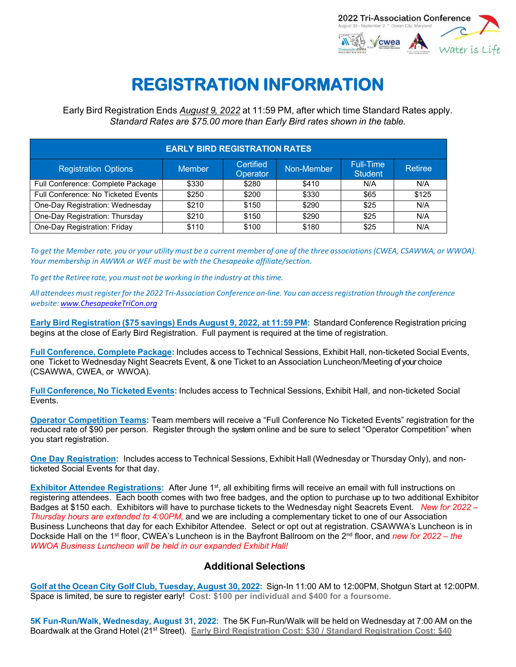

## **REGISTRATION INFORMATION**

Early Bird Registration Ends *August 9, 2022* at 11:59 PM, after which time Standard Rates apply. *Standard Rates are \$75.00 more than Early Bird rates shown in the table.*

| <b>EARLY BIRD REGISTRATION RATES</b> |               |                       |            |                                    |         |
|--------------------------------------|---------------|-----------------------|------------|------------------------------------|---------|
| <b>Registration Options</b>          | <b>Member</b> | Certified<br>Operator | Non-Member | <b>Full-Time</b><br><b>Student</b> | Retiree |
| Full Conference: Complete Package    | \$330         | \$280                 | \$410      | N/A                                | N/A     |
| Full Conference: No Ticketed Events  | \$250         | \$200                 | \$330      | \$65                               | \$125   |
| One-Day Registration: Wednesday      | \$210         | \$150                 | \$290      | \$25                               | N/A     |
| One-Day Registration: Thursday       | \$210         | \$150                 | \$290      | \$25                               | N/A     |
| One-Day Registration: Friday         | \$110         | \$100                 | \$180      | \$25                               | N/A     |

To get the Member rate, you or your utility must be a current member of one of the three associations (CWEA, CSAWWA, or WWOA). *Your membership in AWWA or WEF must be with the Chesapeake affiliate/section.*

*To get the Retiree rate, you must not be working in the industry at thistime.*

All attendees must register for the 2022 Tri-Association Conference on-line. You can access registration through the conference *website: [www.ChesapeakeTriCon.org](http://www.chesapeaketricon.org/)*

**Early Bird Registration (\$75 savings) Ends August 9, 2022, at 11:59 PM:** Standard Conference Registration pricing begins at the close of Early Bird Registration. Full payment is required at the time of registration.

**Full Conference, Complete Package:** Includes access to Technical Sessions, Exhibit Hall, non-ticketed Social Events, one Ticket to Wednesday Night Seacrets Event, & one Ticket to an Association Luncheon/Meeting of your choice (CSAWWA, CWEA, or WWOA).

**Full Conference, No Ticketed Events:** Includes access to Technical Sessions, Exhibit Hall, and non-ticketed Social Events.

**Operator Competition Teams:** Team members will receive a "Full Conference No Ticketed Events" registration for the reduced rate of \$90 per person. Register through the system online and be sure to select "Operator Competition" when you start registration.

**One Day Registration:** Includes access to Technical Sessions, Exhibit Hall (Wednesday or Thursday Only), and nonticketed Social Events for that day.

**Exhibitor Attendee Registrations:** After June 1<sup>st</sup>, all exhibiting firms will receive an email with full instructions on registering attendees. Each booth comes with two free badges, and the option to purchase up to two additional Exhibitor Badges at \$150 each. Exhibitors will have to purchase tickets to the Wednesday night Seacrets Event. *New for 2022 – Thursday hours are extended to 4:00PM,* and we are including a complementary ticket to one of our Association Business Luncheons that day for each Exhibitor Attendee. Select or opt out at registration. CSAWWA's Luncheon is in Dockside Hall on the 1st floor, CWEA's Luncheon is in the Bayfront Ballroom on the 2nd floor, and *new for 2022 – the WWOA Business Luncheon will be held in our expanded Exhibit Hall!* 

## **Additional Selections**

**Golf at the Ocean City Golf Club, Tuesday, August 30, 2022:** Sign-In 11:00 AM to 12:00PM, Shotgun Start at 12:00PM. Space is limited, be sure to register early! **Cost: \$100 per individual and \$400 for a foursome.** 

**5K Fun-Run/Walk, Wednesday, August 31, 2022:** The 5K Fun-Run/Walk will be held on Wednesday at 7:00 AM on the Boardwalk at the Grand Hotel (21st Street). **Early Bird Registration Cost: \$30 / Standard Registration Cost: \$40**